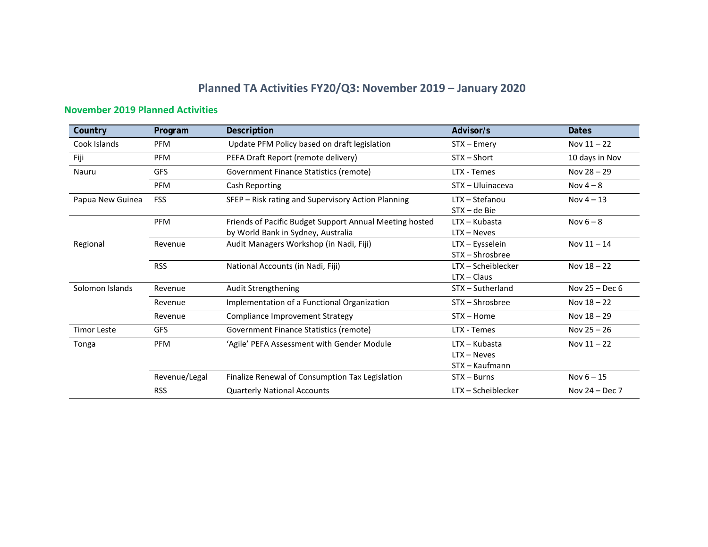# **Planned TA Activities FY20/Q3: November 2019 – January 2020**

### **November 2019 Planned Activities**

| Country            | Program       | Description                                                                                   | Advisor/s                                          | <b>Dates</b>     |
|--------------------|---------------|-----------------------------------------------------------------------------------------------|----------------------------------------------------|------------------|
| Cook Islands       | <b>PFM</b>    | Update PFM Policy based on draft legislation                                                  | STX – Emery                                        | Nov $11 - 22$    |
| Fiji               | <b>PFM</b>    | PEFA Draft Report (remote delivery)                                                           | $STX - Short$                                      | 10 days in Nov   |
| Nauru              | <b>GFS</b>    | Government Finance Statistics (remote)                                                        | LTX - Temes                                        | Nov $28 - 29$    |
|                    | <b>PFM</b>    | Cash Reporting                                                                                | STX - Uluinaceva                                   | Nov $4-8$        |
| Papua New Guinea   | <b>FSS</b>    | SFEP - Risk rating and Supervisory Action Planning                                            | LTX - Stefanou<br>STX - de Bie                     | Nov $4 - 13$     |
|                    | <b>PFM</b>    | Friends of Pacific Budget Support Annual Meeting hosted<br>by World Bank in Sydney, Australia | LTX - Kubasta<br>$LTX - Neves$                     | Nov $6 - 8$      |
| Regional           | Revenue       | Audit Managers Workshop (in Nadi, Fiji)                                                       | LTX - Eysselein<br>STX - Shrosbree                 | Nov $11 - 14$    |
|                    | <b>RSS</b>    | National Accounts (in Nadi, Fiji)                                                             | LTX - Scheiblecker<br>$LTX - Claus$                | Nov $18 - 22$    |
| Solomon Islands    | Revenue       | Audit Strengthening                                                                           | STX - Sutherland                                   | Nov $25 - Dec 6$ |
|                    | Revenue       | Implementation of a Functional Organization                                                   | STX - Shrosbree                                    | Nov $18 - 22$    |
|                    | Revenue       | Compliance Improvement Strategy                                                               | $STX - Home$                                       | Nov $18 - 29$    |
| <b>Timor Leste</b> | <b>GFS</b>    | Government Finance Statistics (remote)                                                        | LTX - Temes                                        | Nov $25 - 26$    |
| Tonga              | <b>PFM</b>    | 'Agile' PEFA Assessment with Gender Module                                                    | $LTX - Kubasta$<br>$LTX - Neves$<br>STX - Kaufmann | Nov $11 - 22$    |
|                    | Revenue/Legal | Finalize Renewal of Consumption Tax Legislation                                               | $STX - Burns$                                      | Nov $6 - 15$     |
|                    | <b>RSS</b>    | <b>Quarterly National Accounts</b>                                                            | LTX - Scheiblecker                                 | Nov $24 - Dec 7$ |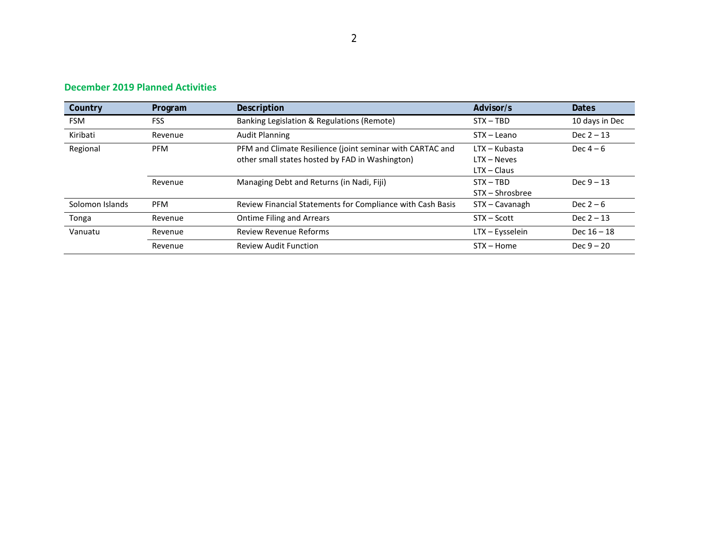### **December 2019 Planned Activities**

| Country         | Program                                                                                                                    | Description                                                | Advisor/s                                       | <b>Dates</b>   |
|-----------------|----------------------------------------------------------------------------------------------------------------------------|------------------------------------------------------------|-------------------------------------------------|----------------|
| <b>FSM</b>      | FSS                                                                                                                        | Banking Legislation & Regulations (Remote)                 | $STX - TBD$                                     | 10 days in Dec |
| Kiribati        | Revenue                                                                                                                    | <b>Audit Planning</b>                                      | STX - Leano                                     | Dec $2 - 13$   |
| Regional        | PFM and Climate Resilience (joint seminar with CARTAC and<br><b>PFM</b><br>other small states hosted by FAD in Washington) |                                                            | LTX – Kubasta<br>$LTX - Neves$<br>$LTX - Class$ | Dec $4-6$      |
|                 | Revenue                                                                                                                    | Managing Debt and Returns (in Nadi, Fiji)                  | $STX - TBD$<br>STX – Shrosbree                  | Dec $9 - 13$   |
| Solomon Islands | <b>PFM</b>                                                                                                                 | Review Financial Statements for Compliance with Cash Basis | STX - Cavanagh                                  | Dec $2-6$      |
| Tonga           | Revenue                                                                                                                    | <b>Ontime Filing and Arrears</b>                           | STX – Scott                                     | $Dec 2 - 13$   |
| Vanuatu         | Revenue                                                                                                                    | <b>Review Revenue Reforms</b>                              | LTX - Eysselein                                 | Dec $16 - 18$  |
|                 | Revenue                                                                                                                    | <b>Review Audit Function</b>                               | $STX - Home$                                    | $Dec 9 - 20$   |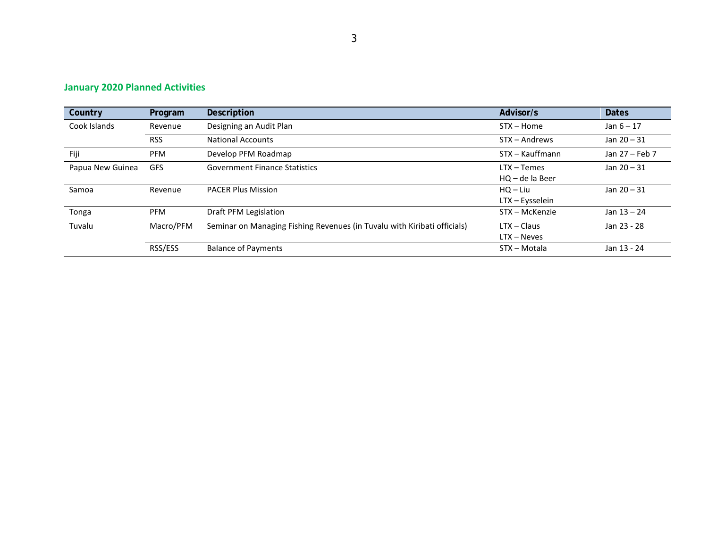### **January 2020 Planned Activities**

| Country          | Program    | Description                                                              | Advisor/s                        | Dates          |
|------------------|------------|--------------------------------------------------------------------------|----------------------------------|----------------|
| Cook Islands     | Revenue    | Designing an Audit Plan                                                  | $STX - Home$                     | Jan $6 - 17$   |
|                  | <b>RSS</b> | <b>National Accounts</b>                                                 | STX – Andrews                    | Jan $20 - 31$  |
| Fiji             | <b>PFM</b> | Develop PFM Roadmap                                                      | STX - Kauffmann                  | Jan 27 - Feb 7 |
| Papua New Guinea | <b>GFS</b> | <b>Government Finance Statistics</b>                                     | $LTX - Temes$<br>HQ - de la Beer | Jan $20 - 31$  |
| Samoa            | Revenue    | <b>PACER Plus Mission</b>                                                | $HO - Liu$<br>LTX - Eysselein    | Jan $20 - 31$  |
| Tonga            | <b>PFM</b> | Draft PFM Legislation                                                    | STX - McKenzie                   | Jan $13 - 24$  |
| Tuvalu           | Macro/PFM  | Seminar on Managing Fishing Revenues (in Tuvalu with Kiribati officials) | $LTX - Claus$<br>$LTX - Neves$   | Jan 23 - 28    |
|                  | RSS/ESS    | <b>Balance of Payments</b>                                               | STX - Motala                     | Jan 13 - 24    |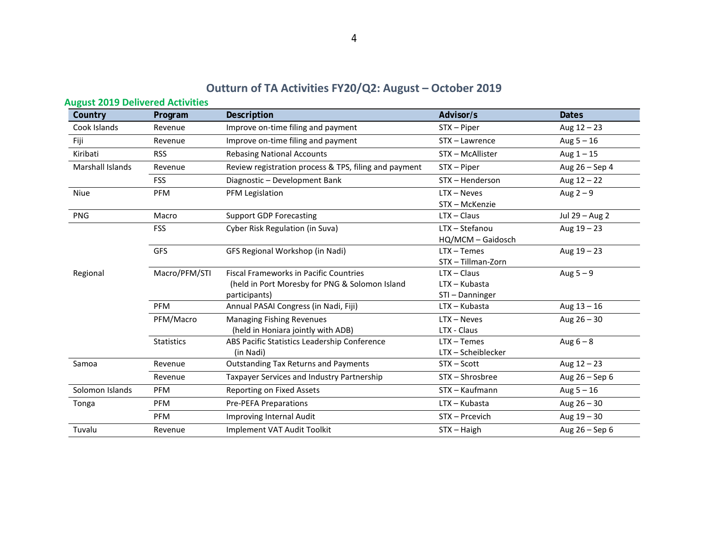4

# **Outturn of TA Activities FY20/Q2: August – October 2019**

| Country          | Program           | Description                                                                                                      | Advisor/s                                         | <b>Dates</b>   |
|------------------|-------------------|------------------------------------------------------------------------------------------------------------------|---------------------------------------------------|----------------|
| Cook Islands     | Revenue           | Improve on-time filing and payment                                                                               | STX - Piper                                       | Aug $12 - 23$  |
| Fiji             | Revenue           | Improve on-time filing and payment                                                                               | STX - Lawrence                                    | Aug $5 - 16$   |
| Kiribati         | <b>RSS</b>        | <b>Rebasing National Accounts</b>                                                                                | STX - McAllister                                  | Aug $1 - 15$   |
| Marshall Islands | Revenue           | Review registration process & TPS, filing and payment                                                            | STX - Piper                                       | Aug 26 - Sep 4 |
|                  | <b>FSS</b>        | Diagnostic - Development Bank                                                                                    | STX - Henderson                                   | Aug $12 - 22$  |
| Niue             | PFM               | PFM Legislation                                                                                                  | $LTX - Neves$<br>STX - McKenzie                   | Aug $2-9$      |
| <b>PNG</b>       | Macro             | <b>Support GDP Forecasting</b>                                                                                   | $LTX - Claus$                                     | Jul 29 - Aug 2 |
|                  | <b>FSS</b>        | Cyber Risk Regulation (in Suva)                                                                                  | LTX - Stefanou<br>HQ/MCM - Gaidosch               | Aug $19 - 23$  |
|                  | GFS               | GFS Regional Workshop (in Nadi)                                                                                  | $LTX - Temes$<br>STX - Tillman-Zorn               | Aug $19 - 23$  |
| Regional         | Macro/PFM/STI     | <b>Fiscal Frameworks in Pacific Countries</b><br>(held in Port Moresby for PNG & Solomon Island<br>participants) | $LTX - Claus$<br>$LTX - Kubasta$<br>STI-Danninger | Aug $5-9$      |
|                  | <b>PFM</b>        | Annual PASAI Congress (in Nadi, Fiji)                                                                            | LTX - Kubasta                                     | Aug $13 - 16$  |
|                  | PFM/Macro         | <b>Managing Fishing Revenues</b><br>(held in Honiara jointly with ADB)                                           | $LTX - Neves$<br>LTX - Claus                      | Aug $26 - 30$  |
|                  | <b>Statistics</b> | ABS Pacific Statistics Leadership Conference<br>(in Nadi)                                                        | $LTX - Temes$<br>LTX - Scheiblecker               | Aug $6 - 8$    |
| Samoa            | Revenue           | <b>Outstanding Tax Returns and Payments</b>                                                                      | STX - Scott                                       | Aug $12 - 23$  |
|                  | Revenue           | Taxpayer Services and Industry Partnership                                                                       | STX-Shrosbree                                     | Aug 26 - Sep 6 |
| Solomon Islands  | <b>PFM</b>        | Reporting on Fixed Assets                                                                                        | STX - Kaufmann                                    | Aug $5 - 16$   |
| Tonga            | PFM               | <b>Pre-PEFA Preparations</b>                                                                                     | LTX - Kubasta                                     | Aug $26 - 30$  |
|                  | <b>PFM</b>        | Improving Internal Audit                                                                                         | STX - Prcevich                                    | Aug $19 - 30$  |
| Tuvalu           | Revenue           | Implement VAT Audit Toolkit                                                                                      | $STX - Haigh$                                     | Aug 26 - Sep 6 |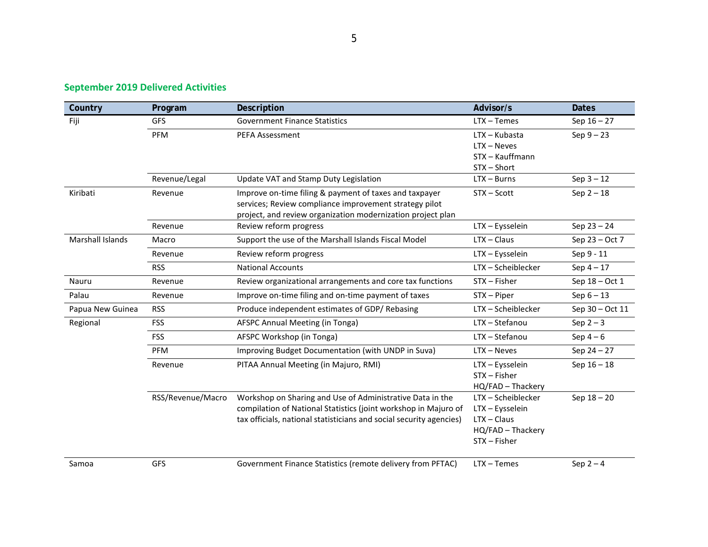### **September 2019 Delivered Activities**

| Country                 | Program           | Description                                                                                                                                                                                         | Advisor/s                                                                                 | <b>Dates</b>    |
|-------------------------|-------------------|-----------------------------------------------------------------------------------------------------------------------------------------------------------------------------------------------------|-------------------------------------------------------------------------------------------|-----------------|
| Fiji                    | <b>GFS</b>        | <b>Government Finance Statistics</b>                                                                                                                                                                | $LTX - Temes$                                                                             | Sep $16 - 27$   |
|                         | PFM               | <b>PEFA Assessment</b>                                                                                                                                                                              | $LTX - Kubasta$<br>$LTX - Neves$<br>STX - Kauffmann                                       | Sep $9-23$      |
|                         | Revenue/Legal     | Update VAT and Stamp Duty Legislation                                                                                                                                                               | STX-Short<br>$LTX - Burns$                                                                | $Sep 3 - 12$    |
|                         |                   |                                                                                                                                                                                                     |                                                                                           |                 |
| Kiribati                | Revenue           | Improve on-time filing & payment of taxes and taxpayer<br>services; Review compliance improvement strategy pilot<br>project, and review organization modernization project plan                     | STX - Scott                                                                               | Sep $2-18$      |
|                         | Revenue           | Review reform progress                                                                                                                                                                              | LTX - Eysselein                                                                           | Sep $23 - 24$   |
| <b>Marshall Islands</b> | Macro             | Support the use of the Marshall Islands Fiscal Model                                                                                                                                                | $LTX - Claus$                                                                             | Sep 23 - Oct 7  |
|                         | Revenue           | Review reform progress                                                                                                                                                                              | LTX - Eysselein                                                                           | Sep 9 - 11      |
|                         | <b>RSS</b>        | <b>National Accounts</b>                                                                                                                                                                            | LTX - Scheiblecker                                                                        | Sep $4-17$      |
| Nauru                   | Revenue           | Review organizational arrangements and core tax functions                                                                                                                                           | STX - Fisher                                                                              | Sep 18 - Oct 1  |
| Palau                   | Revenue           | Improve on-time filing and on-time payment of taxes                                                                                                                                                 | STX - Piper                                                                               | $Sep 6 - 13$    |
| Papua New Guinea        | <b>RSS</b>        | Produce independent estimates of GDP/Rebasing                                                                                                                                                       | LTX - Scheiblecker                                                                        | Sep 30 - Oct 11 |
| Regional                | <b>FSS</b>        | AFSPC Annual Meeting (in Tonga)                                                                                                                                                                     | LTX - Stefanou                                                                            | Sep $2-3$       |
|                         | <b>FSS</b>        | AFSPC Workshop (in Tonga)                                                                                                                                                                           | LTX - Stefanou                                                                            | Sep $4-6$       |
|                         | PFM               | Improving Budget Documentation (with UNDP in Suva)                                                                                                                                                  | $LTX - Neves$                                                                             | Sep $24 - 27$   |
|                         | Revenue           | PITAA Annual Meeting (in Majuro, RMI)                                                                                                                                                               | LTX - Eysselein<br>STX - Fisher<br>HQ/FAD - Thackery                                      | Sep $16 - 18$   |
|                         | RSS/Revenue/Macro | Workshop on Sharing and Use of Administrative Data in the<br>compilation of National Statistics (joint workshop in Majuro of<br>tax officials, national statisticians and social security agencies) | LTX-Scheiblecker<br>LTX - Eysselein<br>$LTX - Claus$<br>HQ/FAD - Thackery<br>STX - Fisher | Sep $18 - 20$   |
| Samoa                   | GFS               | Government Finance Statistics (remote delivery from PFTAC)                                                                                                                                          | $LTX - Temes$                                                                             | Sep $2-4$       |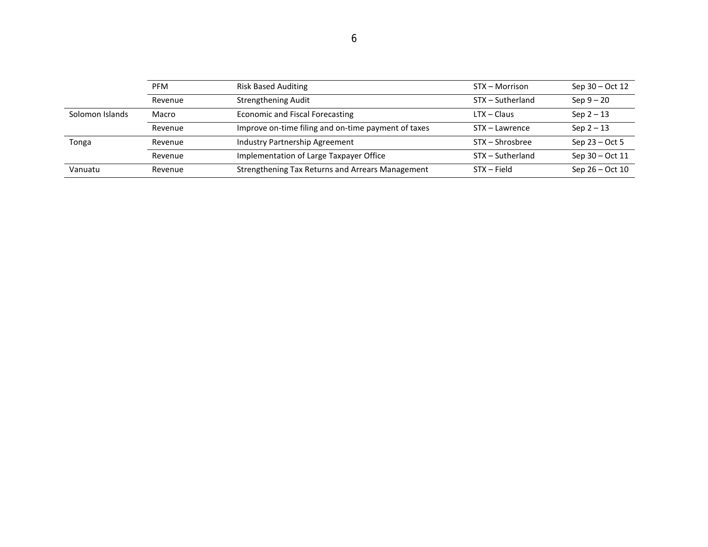|                 | <b>PFM</b> | <b>Risk Based Auditing</b>                          | STX - Morrison   | Sep 30 – Oct 12   |
|-----------------|------------|-----------------------------------------------------|------------------|-------------------|
|                 | Revenue    | <b>Strengthening Audit</b>                          | STX - Sutherland | $Sep 9 - 20$      |
| Solomon Islands | Macro      | <b>Economic and Fiscal Forecasting</b>              | LTX – Claus      | $Sep 2 - 13$      |
|                 | Revenue    | Improve on-time filing and on-time payment of taxes | STX – Lawrence   | $Sep 2 - 13$      |
| Tonga           | Revenue    | Industry Partnership Agreement                      | STX – Shrosbree  | Sep $23 - Oct 5$  |
|                 | Revenue    | Implementation of Large Taxpayer Office             | STX - Sutherland | Sep 30 - Oct 11   |
| Vanuatu         | Revenue    | Strengthening Tax Returns and Arrears Management    | STX – Field      | Sep $26 - Oct 10$ |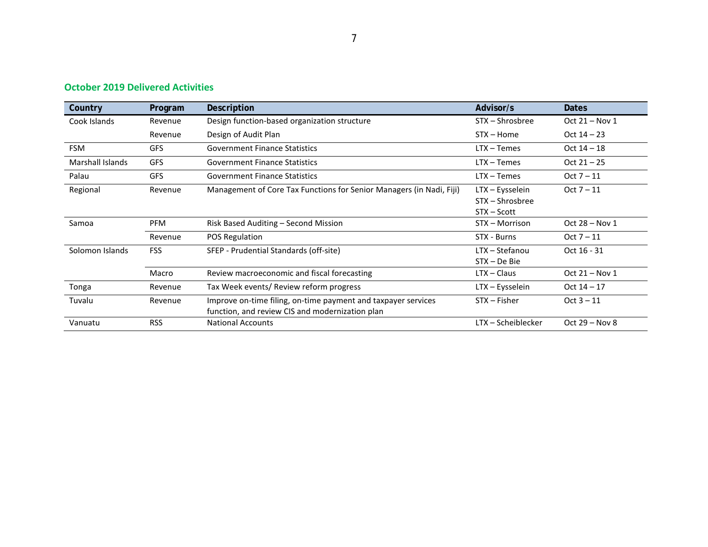### **October 2019 Delivered Activities**

| Country                 | Program    | Description                                                                                                      | Advisor/s                                         | <b>Dates</b>     |
|-------------------------|------------|------------------------------------------------------------------------------------------------------------------|---------------------------------------------------|------------------|
| Cook Islands            | Revenue    | Design function-based organization structure                                                                     | STX - Shrosbree                                   | Oct 21 - Nov 1   |
|                         | Revenue    | Design of Audit Plan                                                                                             | STX – Home                                        | Oct $14 - 23$    |
| <b>FSM</b>              | <b>GFS</b> | <b>Government Finance Statistics</b>                                                                             | $LTX - Temes$                                     | Oct $14 - 18$    |
| <b>Marshall Islands</b> | <b>GFS</b> | <b>Government Finance Statistics</b>                                                                             | LTX - Temes                                       | $Oct 21 - 25$    |
| Palau                   | <b>GFS</b> | <b>Government Finance Statistics</b>                                                                             | $LTX - Temes$                                     | $Oct 7 - 11$     |
| Regional                | Revenue    | Management of Core Tax Functions for Senior Managers (in Nadi, Fiji)                                             | LTX – Eysselein<br>STX - Shrosbree<br>STX - Scott | $Oct 7 - 11$     |
| Samoa                   | <b>PFM</b> | Risk Based Auditing - Second Mission                                                                             | STX - Morrison                                    | Oct $28 - Nov 1$ |
|                         | Revenue    | POS Regulation                                                                                                   | STX - Burns                                       | $Oct 7 - 11$     |
| Solomon Islands         | <b>FSS</b> | SFEP - Prudential Standards (off-site)                                                                           | LTX - Stefanou<br>STX - De Bie                    | Oct 16 - 31      |
|                         | Macro      | Review macroeconomic and fiscal forecasting                                                                      | $LTX - Claus$                                     | Oct $21 - Nov 1$ |
| Tonga                   | Revenue    | Tax Week events/ Review reform progress                                                                          | LTX - Eysselein                                   | Oct $14 - 17$    |
| Tuvalu                  | Revenue    | Improve on-time filing, on-time payment and taxpayer services<br>function, and review CIS and modernization plan | STX - Fisher                                      | $Oct 3 - 11$     |
| Vanuatu                 | <b>RSS</b> | <b>National Accounts</b>                                                                                         | LTX - Scheiblecker                                | Oct $29 - Nov 8$ |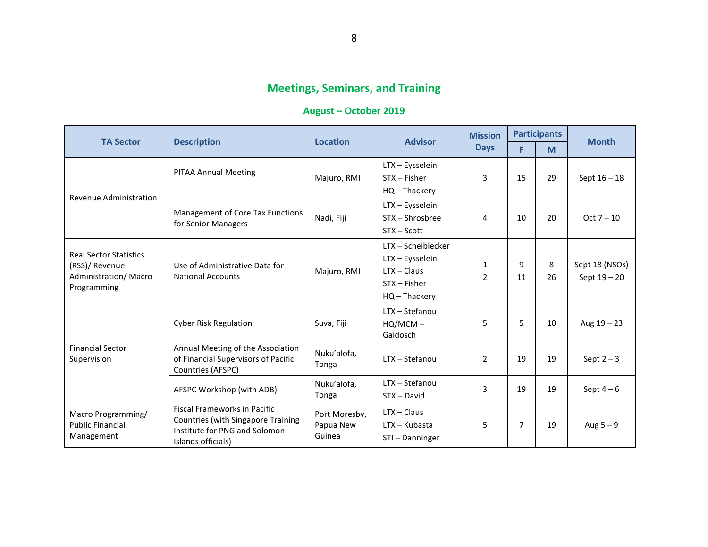# **Meetings, Seminars, and Training**

### **August – October 2019**

|                                                                                                |                                                                                                                                  | <b>Location</b>                      | <b>Advisor</b>                                                                            | <b>Mission</b> | <b>Participants</b> |         | <b>Month</b>                     |
|------------------------------------------------------------------------------------------------|----------------------------------------------------------------------------------------------------------------------------------|--------------------------------------|-------------------------------------------------------------------------------------------|----------------|---------------------|---------|----------------------------------|
| <b>TA Sector</b>                                                                               | <b>Description</b>                                                                                                               |                                      |                                                                                           | <b>Days</b>    | F                   | M       |                                  |
| Revenue Administration                                                                         | <b>PITAA Annual Meeting</b>                                                                                                      | Majuro, RMI                          | LTX - Eysselein<br>STX - Fisher<br>$HQ - Thackery$                                        | 3              | 15                  | 29      | Sept $16 - 18$                   |
|                                                                                                | Management of Core Tax Functions<br>for Senior Managers                                                                          | Nadi, Fiji                           | LTX - Eysselein<br>STX - Shrosbree<br>$STX - Scott$                                       | 4              | 10                  | 20      | $Oct 7 - 10$                     |
| <b>Real Sector Statistics</b><br>(RSS)/ Revenue<br><b>Administration/ Macro</b><br>Programming | Use of Administrative Data for<br><b>National Accounts</b>                                                                       | Majuro, RMI                          | LTX - Scheiblecker<br>LTX - Eysselein<br>$LTX - Claus$<br>$STX - Fisher$<br>HQ - Thackery | 1<br>2         | 9<br>11             | 8<br>26 | Sept 18 (NSOs)<br>Sept $19 - 20$ |
|                                                                                                | <b>Cyber Risk Regulation</b>                                                                                                     | Suva, Fiji                           | LTX - Stefanou<br>$HQ/MCM -$<br>Gaidosch                                                  | 5              | 5                   | 10      | Aug $19 - 23$                    |
| <b>Financial Sector</b><br>Supervision                                                         | Annual Meeting of the Association<br>of Financial Supervisors of Pacific<br>Countries (AFSPC)                                    | Nuku'alofa,<br>Tonga                 | LTX - Stefanou                                                                            | $\overline{2}$ | 19                  | 19      | Sept $2-3$                       |
|                                                                                                | AFSPC Workshop (with ADB)                                                                                                        | Nuku'alofa,<br>Tonga                 | LTX - Stefanou<br>STX - David                                                             | 3              | 19                  | 19      | Sept $4-6$                       |
| Macro Programming/<br><b>Public Financial</b><br>Management                                    | <b>Fiscal Frameworks in Pacific</b><br>Countries (with Singapore Training<br>Institute for PNG and Solomon<br>Islands officials) | Port Moresby,<br>Papua New<br>Guinea | $LTX - Claus$<br>$LTX - Kubasta$<br>STI-Danninger                                         | 5              | 7                   | 19      | Aug $5-9$                        |